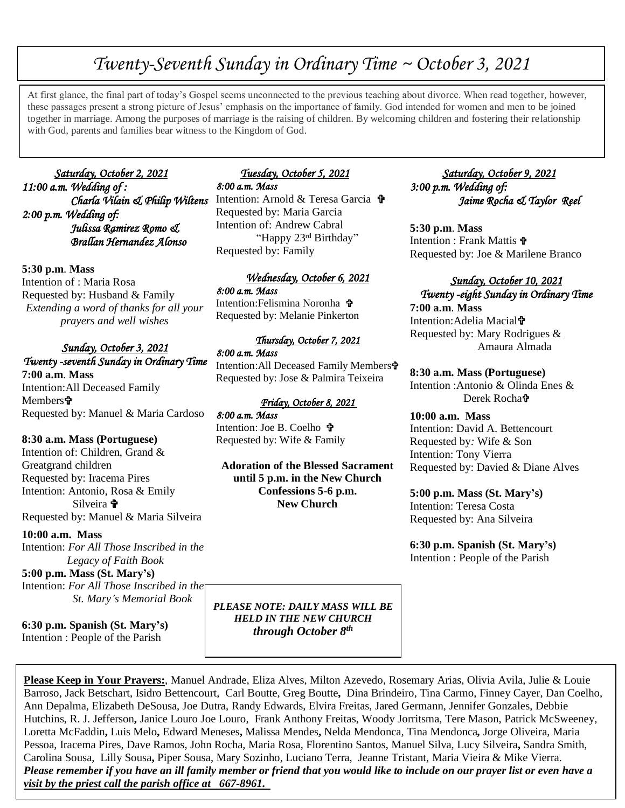# *Twenty-Seventh Sunday in Ordinary Time ~ October 3, 2021*

At first glance, the final part of loday s Gosper seems unconnected to the previous teaching about divorce. When read together, however<br>these passages present a strong picture of Jesus' emphasis on the importance of family At first glance, the final part of today's Gospel seems unconnected to the previous teaching about divorce. When read together, however, together in marriage. Among the purposes of marriage is the raising of children. By welcoming children and fostering their relationship with God, parents and families bear witness to the Kingdom of God.

 *Saturday, October 2, 2021 11:00 a.m. Wedding of : Charla Vilain & Philip Wiltens* Intention: Arnold & Teresa Garcia *2:00 p.m. Wedding of: Julissa Ramirez Romo & Brallan Hernandez Alonso* 

**5:30 p.m**. **Mass** Intention of : Maria Rosa Requested by: Husband & Family *Extending a word of thanks for all your prayers and well wishes*

## *Sunday, October 3, 2021 Twenty -seventh Sunday in Ordinary Time*

**7:00 a.m**. **Mass** Intention:All Deceased Family Members**†** Requested by: Manuel & Maria Cardoso

### **8:30 a.m. Mass (Portuguese)**

Intention of: Children, Grand & Greatgrand children Requested by: Iracema Pires Intention: Antonio, Rosa & Emily Silveira  $\mathbf{\hat{v}}$ Requested by: Manuel & Maria Silveira

### **10:00 a.m. Mass**

Intention: *For All Those Inscribed in the Legacy of Faith Book* 

## **5:00 p.m. Mass (St. Mary's)**

Intention: *For All Those Inscribed in the St. Mary's Memorial Book*

**6:30 p.m. Spanish (St. Mary's)** Intention : People of the Parish

## *Tuesday, October 5, 2021 8:00 a.m. Mass*

Requested by: Maria Garcia Intention of: Andrew Cabral "Happy 23rd Birthday" Requested by: Family

### *Wednesday, October 6, 2021*

*8:00 a.m. Mass*  Intention:Felismina Noronha Requested by: Melanie Pinkerton

#### *Thursday, October 7, 2021*

*8:00 a.m. Mass*  Intention:All Deceased Family Members Requested by: Jose & Palmira Teixeira

#### *Friday, October 8, 2021*

*8:00 a.m. Mass*  Intention: Joe B. Coelho Requested by: Wife & Family

**Adoration of the Blessed Sacrament until 5 p.m. in the New Church Confessions 5-6 p.m. New Church**

 *Saturday, October 9, 2021 3:00 p.m. Wedding of: Jaime Rocha & Taylor Reel* 

**5:30 p.m**. **Mass** Intention : Frank Mattis Requested by: Joe & Marilene Branco

### *Sunday, October 10, 2021 Twenty -eight Sunday in Ordinary Time*

**7:00 a.m**. **Mass** Intention:Adelia Macial Requested by: Mary Rodrigues & Amaura Almada

**8:30 a.m. Mass (Portuguese)** Intention :Antonio & Olinda Enes & Derek Rocha

**10:00 a.m. Mass** Intention: David A. Bettencourt Requested by*:* Wife & Son Intention: Tony Vierra Requested by: Davied & Diane Alves

### **5:00 p.m. Mass (St. Mary's)**

Intention: Teresa Costa Requested by: Ana Silveira

**6:30 p.m. Spanish (St. Mary's)** Intention : People of the Parish

*PLEASE NOTE: DAILY MASS WILL BE HELD IN THE NEW CHURCH through October 8th*

**Please Keep in Your Prayers:**, Manuel Andrade, Eliza Alves, Milton Azevedo, Rosemary Arias, Olivia Avila, Julie & Louie Barroso, Jack Betschart, Isidro Bettencourt, Carl Boutte, Greg Boutte**,** Dina Brindeiro, Tina Carmo, Finney Cayer, Dan Coelho, Ann Depalma, Elizabeth DeSousa, Joe Dutra, Randy Edwards, Elvira Freitas, Jared Germann, Jennifer Gonzales, Debbie Hutchins, R. J. Jefferson**,** Janice Louro Joe Louro, Frank Anthony Freitas, Woody Jorritsma, Tere Mason, Patrick McSweeney, Loretta McFaddin**,** Luis Melo**,** Edward Meneses**,** Malissa Mendes**,** Nelda Mendonca, Tina Mendonca*,* Jorge Oliveira, Maria Pessoa, Iracema Pires, Dave Ramos, John Rocha, Maria Rosa, Florentino Santos, Manuel Silva, Lucy Silveira**,** Sandra Smith, Carolina Sousa, Lilly Sousa**,** Piper Sousa, Mary Sozinho, Luciano Terra, Jeanne Tristant, Maria Vieira & Mike Vierra. *Please remember if you have an ill family member or friend that you would like to include on our prayer list or even have a visit by the priest call the parish office at 667-8961.*